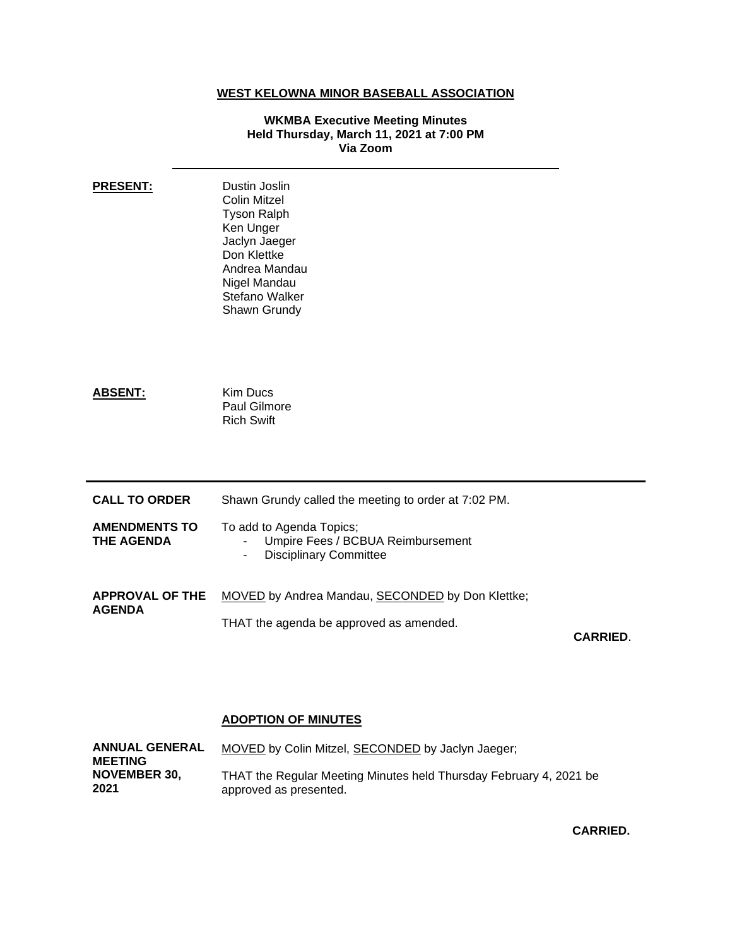## **WEST KELOWNA MINOR BASEBALL ASSOCIATION**

## **WKMBA Executive Meeting Minutes Held Thursday, March 11, 2021 at 7:00 PM Via Zoom**

| <b>PRESENT:</b>                           | Dustin Joslin<br><b>Colin Mitzel</b><br><b>Tyson Ralph</b><br>Ken Unger<br>Jaclyn Jaeger<br>Don Klettke<br>Andrea Mandau<br>Nigel Mandau<br>Stefano Walker<br>Shawn Grundy |                 |
|-------------------------------------------|----------------------------------------------------------------------------------------------------------------------------------------------------------------------------|-----------------|
| <b>ABSENT:</b>                            | <b>Kim Ducs</b><br>Paul Gilmore<br><b>Rich Swift</b>                                                                                                                       |                 |
| <b>CALL TO ORDER</b>                      | Shawn Grundy called the meeting to order at 7:02 PM.                                                                                                                       |                 |
| <b>AMENDMENTS TO</b><br><b>THE AGENDA</b> | To add to Agenda Topics;<br>Umpire Fees / BCBUA Reimbursement<br><b>Disciplinary Committee</b><br>۰                                                                        |                 |
| <b>APPROVAL OF THE</b><br><b>AGENDA</b>   | MOVED by Andrea Mandau, SECONDED by Don Klettke;<br>THAT the agenda be approved as amended.                                                                                | <b>CARRIED.</b> |

## **ADOPTION OF MINUTES**

| <b>ANNUAL GENERAL</b><br><b>MEETING</b> | MOVED by Colin Mitzel, SECONDED by Jaclyn Jaeger;                  |
|-----------------------------------------|--------------------------------------------------------------------|
| <b>NOVEMBER 30.</b>                     | THAT the Regular Meeting Minutes held Thursday February 4, 2021 be |
| 2021                                    | approved as presented.                                             |

**CARRIED.**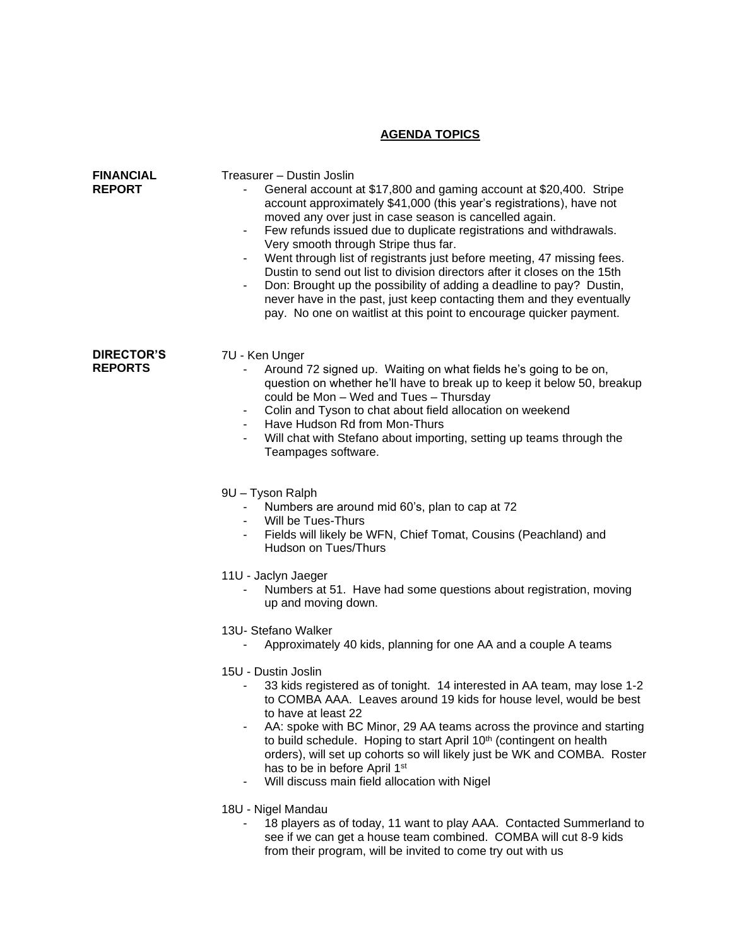## **AGENDA TOPICS**

| <b>FINANCIAL</b><br><b>REPORT</b>   | Treasurer - Dustin Joslin<br>General account at \$17,800 and gaming account at \$20,400. Stripe<br>account approximately \$41,000 (this year's registrations), have not<br>moved any over just in case season is cancelled again.<br>Few refunds issued due to duplicate registrations and withdrawals.<br>-<br>Very smooth through Stripe thus far.<br>Went through list of registrants just before meeting, 47 missing fees.<br>-<br>Dustin to send out list to division directors after it closes on the 15th<br>Don: Brought up the possibility of adding a deadline to pay? Dustin,<br>never have in the past, just keep contacting them and they eventually<br>pay. No one on waitlist at this point to encourage quicker payment.                                                                                                                                                                                           |
|-------------------------------------|------------------------------------------------------------------------------------------------------------------------------------------------------------------------------------------------------------------------------------------------------------------------------------------------------------------------------------------------------------------------------------------------------------------------------------------------------------------------------------------------------------------------------------------------------------------------------------------------------------------------------------------------------------------------------------------------------------------------------------------------------------------------------------------------------------------------------------------------------------------------------------------------------------------------------------|
| <b>DIRECTOR'S</b><br><b>REPORTS</b> | 7U - Ken Unger<br>Around 72 signed up. Waiting on what fields he's going to be on,<br>question on whether he'll have to break up to keep it below 50, breakup<br>could be Mon - Wed and Tues - Thursday<br>Colin and Tyson to chat about field allocation on weekend<br>$\blacksquare$<br>Have Hudson Rd from Mon-Thurs<br>Will chat with Stefano about importing, setting up teams through the<br>-<br>Teampages software.<br>9U - Tyson Ralph<br>Numbers are around mid 60's, plan to cap at 72<br>Will be Tues-Thurs<br>Fields will likely be WFN, Chief Tomat, Cousins (Peachland) and<br>Hudson on Tues/Thurs<br>11U - Jaclyn Jaeger<br>Numbers at 51. Have had some questions about registration, moving<br>up and moving down.<br>13U- Stefano Walker<br>Approximately 40 kids, planning for one AA and a couple A teams<br>15U - Dustin Joslin<br>33 kids registered as of tonight. 14 interested in AA team, may lose 1-2 |
|                                     | to COMBA AAA. Leaves around 19 kids for house level, would be best<br>to have at least 22<br>AA: spoke with BC Minor, 29 AA teams across the province and starting<br>-<br>to build schedule. Hoping to start April 10 <sup>th</sup> (contingent on health<br>orders), will set up cohorts so will likely just be WK and COMBA. Roster<br>has to be in before April 1st<br>Will discuss main field allocation with Nigel<br>-                                                                                                                                                                                                                                                                                                                                                                                                                                                                                                      |
|                                     | 18U - Nigel Mandau<br>18 players as of today, 11 want to play AAA. Contacted Summerland to<br>see if we can get a house team combined. COMBA will cut 8-9 kids                                                                                                                                                                                                                                                                                                                                                                                                                                                                                                                                                                                                                                                                                                                                                                     |

from their program, will be invited to come try out with us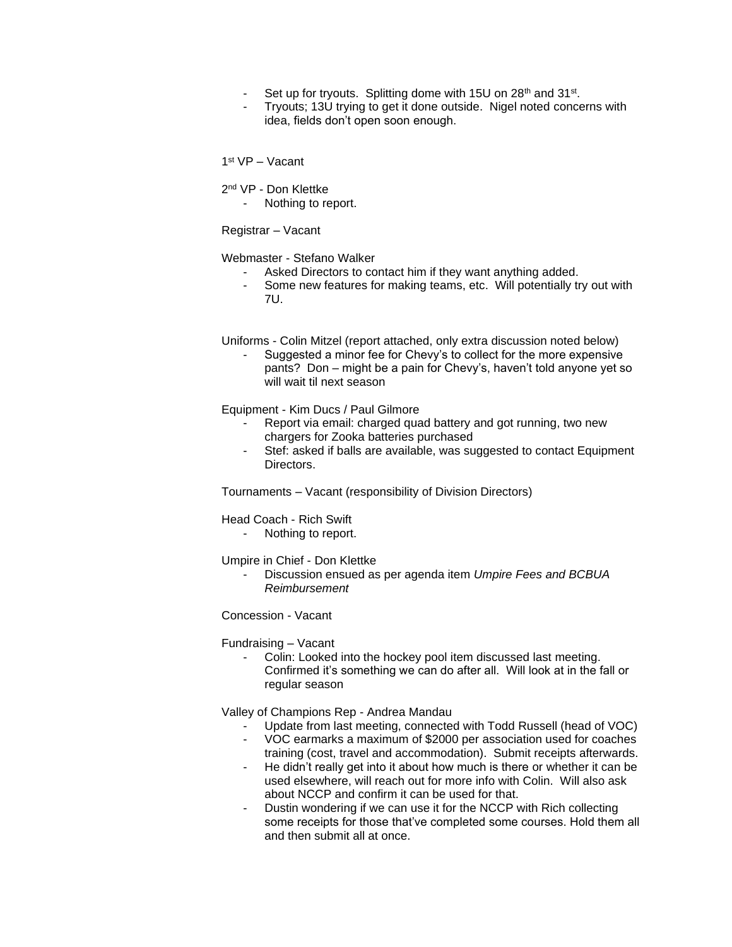- Set up for tryouts. Splitting dome with 15U on 28<sup>th</sup> and 31<sup>st</sup>.
- Tryouts: 13U trying to get it done outside. Nigel noted concerns with idea, fields don't open soon enough.

1 st VP – Vacant

2<sup>nd</sup> VP - Don Klettke

Nothing to report.

Registrar – Vacant

Webmaster - Stefano Walker

- Asked Directors to contact him if they want anything added.
- Some new features for making teams, etc. Will potentially try out with 7U.

Uniforms - Colin Mitzel (report attached, only extra discussion noted below)

Suggested a minor fee for Chevy's to collect for the more expensive pants? Don – might be a pain for Chevy's, haven't told anyone yet so will wait til next season

Equipment - Kim Ducs / Paul Gilmore

- Report via email: charged quad battery and got running, two new chargers for Zooka batteries purchased
- Stef: asked if balls are available, was suggested to contact Equipment Directors.

Tournaments – Vacant (responsibility of Division Directors)

Head Coach - Rich Swift

- Nothing to report.

Umpire in Chief - Don Klettke

- Discussion ensued as per agenda item *Umpire Fees and BCBUA Reimbursement* 

Concession - Vacant

Fundraising – Vacant

Colin: Looked into the hockey pool item discussed last meeting. Confirmed it's something we can do after all. Will look at in the fall or regular season

Valley of Champions Rep - Andrea Mandau

- Update from last meeting, connected with Todd Russell (head of VOC)
- VOC earmarks a maximum of \$2000 per association used for coaches training (cost, travel and accommodation). Submit receipts afterwards.
- He didn't really get into it about how much is there or whether it can be used elsewhere, will reach out for more info with Colin. Will also ask about NCCP and confirm it can be used for that.
- Dustin wondering if we can use it for the NCCP with Rich collecting some receipts for those that've completed some courses. Hold them all and then submit all at once.